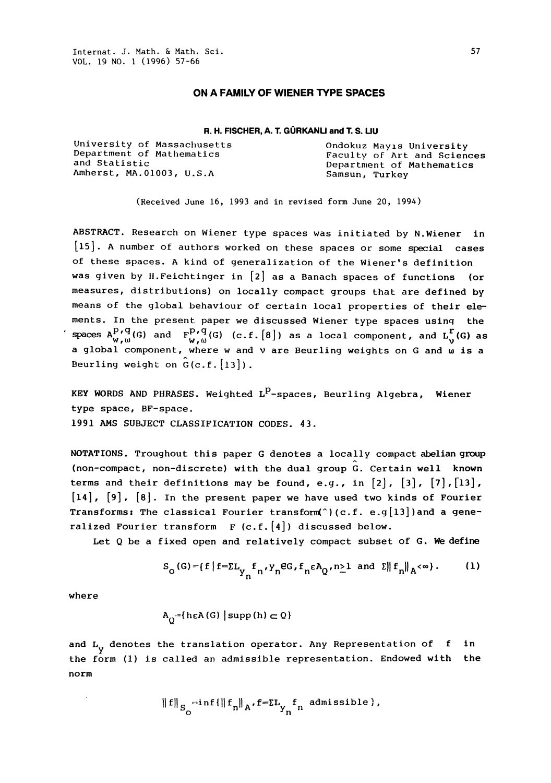## ON A FAMILY OF WIENER TYPE SPACES

## R. H. FISCHER, A. T. GÜRKANLI and T. S. LIU

University of Massachusetts (Ondokuz Mayıs University of Mathematics of Art and Science Amherst, MA.01003, U.S.A Samsun, Turkey

Department of Mathematics Faculty of Art and Sciences<br>and Statistic Faculty of Mathematics Department of Mathematics

(Received June 16, 1993 and in revised form June 20, 1994)

ABSTRACT. Research on Wiener type spaces was initiated by N.Wiener in [15]. A number of authors worked on these spaces or some special cases of these spaces. A kind of generalization of the Wiener's definition was given by H.Feichtinger in [2] as a Banach spaces of functions (or measures, distributions) on locally compact groups that are defined by means of the global behaviour of certain local properties of their elements. In the present paper we discussed Wiener type spaces using the spaces  $A_{W,\omega}^{P,q}(G)$  and  $F_{W,\omega}^{P,q}(G)$  (c.f.  $[8]$ ) as a local component, and  $L_{V}^{r}(G)$  as a global component, where w and v are Beurling weights on G and w is a Beurling weight on  $G(c.f.[13])$ .

KEY WORDS AND PHRASES. Weighted  $L^P$ -spaces, Beurling Algebra, Wiener type space, BF-space. 1991 AMS SUBJECT CLASSIFICATION CODES. 43.

NOTATIONS. Troughout this paper G denotes a locally compact abelian group (non-compact, non-discrete) with the dual group  $\hat{G}$ . Certain well known terms and their definitions may be found, e.g., in  $[2]$ ,  $[3]$ ,  $[7]$ ,  $[13]$ ,  $[14]$ ,  $[9]$ ,  $[8]$ . In the present paper we have used two kinds of Fourier Transforms: The classical Fourier transform( $^{\circ}$ ) (c.f. e.g[13])and a generalized Fourier transform  $F(G,f,[4])$  discussed below.

Let Q be a fixed open and relatively compact subset of G. We define

$$
S_{\text{o}}(\text{G}) = \{f \mid f = \Sigma L_{\gamma} f_n, \gamma_n \in \text{G}, f_n \in A_{\text{Q}}, n \ge 1 \text{ and } \Sigma \mid f_n \mid A < \infty \}.
$$
 (1)

where

$$
A_{\bigcirc} = \{ h \in A(G) \mid \text{supp}(h) \subset Q \}
$$

and  $L_y$  denotes the translation operator. Any Representation of  $\,$  f  $\,$  in the form (1) is called an admissible representation. Endowed with the norm

$$
\|f\|_{S_{\bigcirc}} \text{-inf} \{ \|f_n\|_{A}, f = \sum_{\gamma_n} f_n \text{ admissible} \},
$$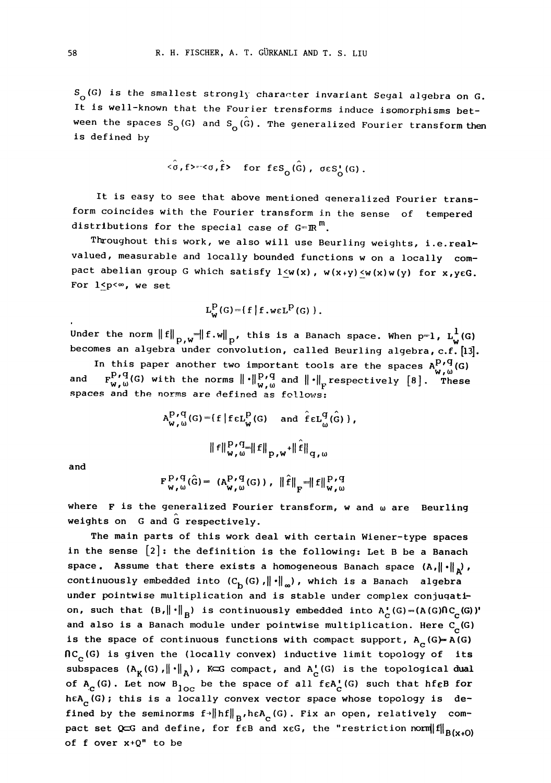$\texttt{S} _{\texttt{O}}$  (G) is the smallest strongly character invariant Segal algebra on G It is well-known that the Fourier trensforms induce isomorphisms between the spaces S<sub>O</sub>(G) and S<sub>O</sub>(G). The generalized Fourier transform then is defined by

$$
\langle \sigma, f \rangle = \langle \sigma, \hat{f} \rangle
$$
 for  $f \in S_{\sigma}(\hat{G})$ ,  $\sigma \in S_{\sigma}^{\dagger}(G)$ .

It is easy to see that above mentioned qeneralized Fourier transform coincides with the Fourier transform in the sense of tempered distributions for the special case of  $G=\mathbb{R}^m$ .

Throughout this work, we also will use Beurling weights, i.e.realvalued, measurable and locally bounded functions w on <sup>a</sup> locally compact abelian group G which satisfy  $1\leq w(x)$ ,  $w(x+y)\leq w(x)w(y)$  for  $x,y\in G$ . For  $1 < p < \infty$ , we set

$$
L_W^P(G) = \{ f | f \cdot \text{wEL}^P(G) \}
$$

Under the norm  $\left\|f\right\|_{p,w}=\left\|f.w\right\|_{p}$ , this is a Banach space. When p=1,  $L_w^1(G)$ becomes an algebra under convolution, called Beurling algebra, c.f. [13].

In this paper another two important tools are the spaces  $A_{w,\omega}^{P,q}(G)$ <br>and  $F_{w,\omega}^{P,q}(G)$  with the norms  $\|\cdot\|_{w,\omega}^{P,q}$  and  $\|\cdot\|_{F}$  respectively  $[8]$ . These spaces and the norms are defined as follows:

$$
A_{w,\omega}^{P,q}(G) = \{f \mid f \in L_{w}^{P}(G) \text{ and } \hat{f} \in L_{\omega}^{q}(\hat{G})\},
$$

$$
\|f\|_{w,\omega}^{P,q} = \|f\|_{p,w} + \|\hat{f}\|_{q,\omega}
$$

and

$$
\mathbf{F}_{\mathbf{w},\omega}^{\mathbf{P},\mathbf{q}}(\hat{\mathbf{G}}) = (\mathbf{A}_{\mathbf{w},\omega}^{\mathbf{P},\mathbf{q}}(\mathbf{G})), \ \|\hat{\mathbf{f}}\|_{\mathbf{F}} = \|\mathbf{f}\|_{\mathbf{w},\omega}^{\mathbf{P},\mathbf{q}}
$$

where  $F$  is the generalized Fourier transform, w and  $\omega$  are Beurling weights on  $G$  and  $G$  respectively.

The main parts of this work deal with certain Wiener-type spaces in the sense [2]: the definition is the following: Let B be a Banach space. Assume that there exists a homogeneous Banach space  $(A, \|\cdot\|_p)$ , continuously embedded into  $(C_b(G), \|\cdot\|_{\infty})$ , which is a Banach algebra under pointwise multiplication and is stable under complex conjugation, such that  $(B, \|\cdot\|_{B})$  is continuously embedded into  $A^{\bullet}_{C}(G)=(A(G)\cap C^{\bullet}_{C}(G))'$ and also is a Banach module under pointwise multiplication. Here  $\texttt{C}_{_{\bf C}}(\mathsf{G})$ is the space of continuous functions with compact support,  $A_c(G)=A(G)$  $nc_c(G)$  is given the (locally convex) inductive limit topology of its subspaces  $(A_K(G), \|\cdot\|_A)$ , KCG compact, and  $A_c(G)$  is the topological dual of  $A_c$ (G). Let now  $B_{\rm loc}$  be the space of all f $\epsilon A_c^{\bullet}$ (G) such that hf $\epsilon B$  for heA<sub>c</sub>(G); this is a locally convex vector space whose topology is defined by the seminorms  $f \rightarrow \|hf\|_{B}$ , heA<sub>c</sub>(G). Fix an open, relatively compact set QCG and define, for feB and xeG, the "restriction norm $\|f\|_{B(x+0)}$ of  $f$  over  $x+Q''$  to be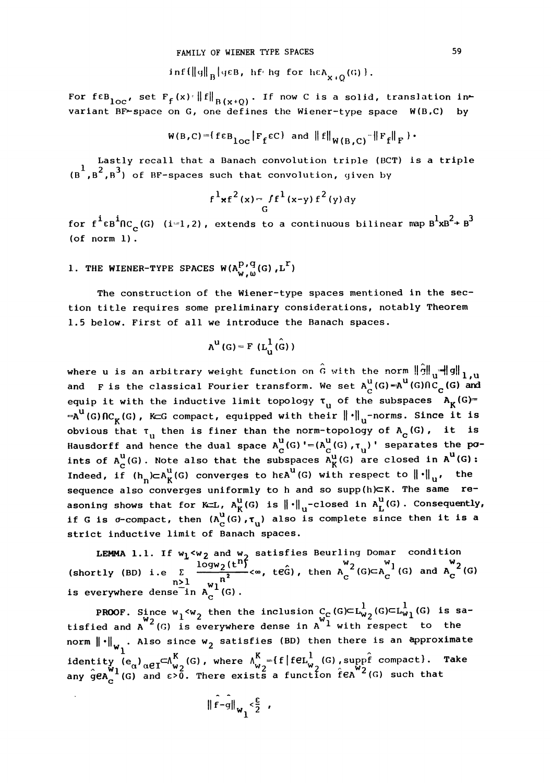$\inf\{\|q\|_{B}\big|\}$ q $\in B$ , hf<sup>t</sup>hg for  $\operatorname{hcl}_{x+O}(G)$ .

For feB<sub>loc</sub>, set  $F_f(x):||f||_{B(x+Q)}$ . If now C is a solid, translation invariant BF-space on G, one defines the Wiener-type space  $W(B,C)$  by

$$
W(B,C) = \{f \in B_{\text{loc}} | F_f \in C\} \text{ and } \|f\|_{W(B,C)} - \|F_f\|_F \}.
$$

Lastly recall that a Banach convolution triple (BCT) is a triple  $(\overline{\mathsf{B}}^1,\overline{\mathsf{B}}^2,\overline{\mathsf{B}}^3)$  of BF-spaces such that convolution, given by

$$
f^{1}xf^{2}(x)=f f^{1}(x-y) f^{2}(y) dy
$$

for f<sup>i</sup>ɛB<sup>i</sup>NC (G) (i=1,2), extends to a continuous bilinear map  $\text{B}^1\text{xB}^2\text{+B}^3$ c (of norm I).

1. THE WIENER-TYPE SPACES  $W(A_{W_1,0}^{P_1, q}(G), L^{\Gamma})$ 

The construction of the Wiener-type spaces mentioned in the section title requires some preliminary considerations, notably Theorem 1.5 below. First of all we introduce the Banach spaces.

$$
A^{u}(G) = F(L_{u}^{1}(\hat{G}))
$$

where u is an arbitrary weight function on  $\hat{G}$  with the norm  $\|\hat{g}\|_{\mathbf{u}}\|\mathbf{g}\|_{1,\mathbf{u}}$ and Fis the classical Fourier transform. We set  $A_C^u(G)=A^u(G)\cap C_{\tilde{C}}(G)$  and equip it with the inductive limit topology  $\tau_{_{\mathbf{U}}}$  of the subspaces  $\mathbf{A_{K}}(\mathsf{G})$ =  $=\mathsf{A}^U(G)\cap\mathcal{C}_\kappa(G)$ , KeG compact, equipped with their  $\|\cdot\|_U$ -norms. Since it is obvious that  $\tau_{\mathrm{u}}$  then is finer than the norm-topology of  $\mathtt{A}_{\mathbf{c}}(\mathtt{G})$ , it is Hausdorff and hence the dual space  $A_C^U(G) := (A_C^U(G), \tau_U)$ ' separates the points of  $A_C^u(G)$ . Note also that the subspaces  $A_K^u(G)$  are closed in  $A^u(G)$ Indeed, if  $(h_n) \subset A_K^U(G)$  converges to he $A^U(G)$  with respect to  $\left\| \cdot \right\|_U$ , the sequence also converges uniformly to h and so supp(h)  $\subset$ K. The same reasoning shows that for K=L,  $A_K^u(G)$  is  $\left\| \cdot \right\|_u$ -closed in  $A_L^u(G)$ . Consequently, if G is  $\sigma$ -compact, then  $(A_C^U(G), \tau_U)$  also is complete since then it is a strict inductive limit of Banach spaces

LEMMA 1.1. If  $w_1 < w_2$  and  $w_2$  satisfies Beurling Domar condition<br>
(shortly (BD) i.e  $\sum_{n>1}^{\infty} \frac{\log w_2(t^n)}{w^n} < \infty$ , teg), then  $A_C^{w_2}(G) \subset A_C^{w_1}(G)$  and  $A_C^{w_2}(G)$ is everywhere dense in  $A_C^{W1}$  (G).

PROOF. Since w<sub>1</sub><w<sub>2</sub> then the inclusion C<sub>C</sub>(G)⊂L<sub>W2</sub>(G)⊂L<sub>W1</sub>(G) is sa-<br>tisfied and A  $^{2}$  (G) is everywhere dense in A  $^{2}$  with respect to the norm  $\left\| \cdot \right\|_{\mathsf{w}_1}$ . Also since  $\mathsf{w}_2$  satisfies (BD) then there is an approximate identity  $(e_{\alpha})_{\alpha\in I}\subset \Lambda_{w_{2}}^{K}(G)$ , where  $\Lambda_{w_{2}}^{K}=$  {f|feL $\frac{1}{w_{2}}(G)$ , suppf compact}. Take reality  $e_{\alpha'} \alpha e I^{-\alpha} w_2^{0.7}$ , where  $w_2$  is ready to reach sea  $\alpha''$  (G) such that

$$
\|\hat{f}-g\|_{w_1} \leq \frac{\varepsilon}{2} ,
$$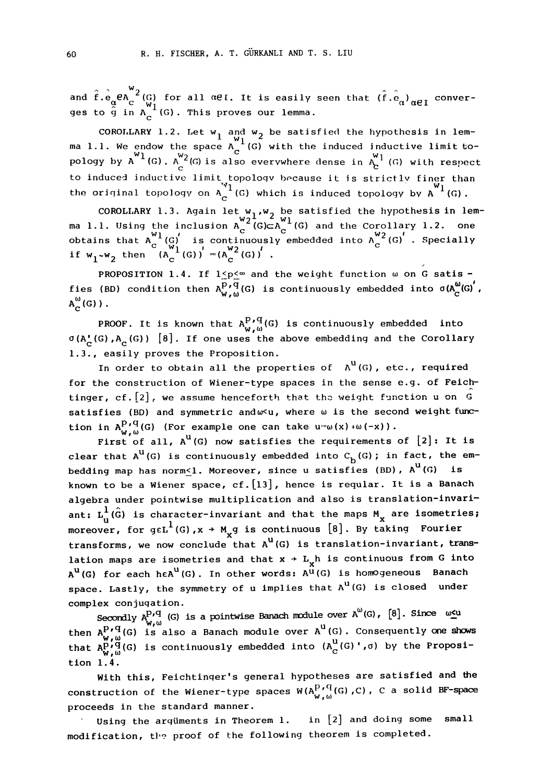and  $\hat{f} \cdot \hat{e}_{\alpha} e^{R}$   $\alpha^{V2}_{C}$  (G) for all  $\alpha$ el. It is easily seen that  $(\hat{f} \cdot \hat{e}_{\alpha})_{\alpha \in I}$  ges to  $\hat{g}$  in  $\Lambda_c$  (G). This proves our lemma. conver-

COROLLARY 1.2. Let  $w_1$  and  $w_2$  be satisfied the hypothesis in lemma l.l. We endow the space  $A_C^{-1}(G)$  with the induced inductive limit to-<br>pology by  $A^{W1}(G)$ .  $A_C^{W2}(G)$  is also everywhere dense in  $A_C^{W1}(G)$  with respect to induced inductive limit topology because it is strictly finer than the original topology on  $A_C^{-1}(G)$  which is induced topology by  $A^{-1}(G)$ 

COROLLARY 1.3. Again let  $w_1, w_2$  be satisfied the hypothesis in lemma 1.1. Using the inclusion  $A_C^{2^1}$  (G)  $CA_C^{10}$  (G) and the Corollary 1.2. one<br>obtains that  $A_A^{W1}$  (G) is continuously embedded into  $A_A^{W2}$  (G) . Specially if  $w_1-w_2$  then  $(A_C^{(0)})' = (A_C^{w_2}(G))'$ .

PROPOSITION 1.4. If  $1 \le p \le \infty$  and the weight function  $\omega$  on G satisfies (BD) condition then  $A_{W,\omega}^{P\,\prime\,q}(G)$  is continuously embedded into  $\sigma(A_C^{\omega}(G))$ ,  $A_C^{\omega}(G)$  ).

PROOF. It is known that  $A_{W}^{P,q}(G)$  is continuously embedded into  $\sigma(A_c^{\bullet}(G), A_c^{\bullet}(G))$  [8]. If one uses the above embedding and the Corollary 1.3., easily proves the Proposition.

In order to obtain all the properties of  $A^U(G)$ , etc., required for the construction of Wiener-type spaces in the sense e.g. of Feichtinger, cf. [2], we assume henceforth that the weight function u on G satisfies (BD) and symmetric and wu, where w is the second weight function in  $A_{W,\omega}^{P \prime q}$  (G) (For example one can take  $u = w(x) + w(-x)$ )

First of all,  $A^U(G)$  now satisfies the requirements of  $[2]$ : It is clear that  $A^U(G)$  is continuously embedded into  $C_{b}(G)$ ; in fact, the embedding map has norm<1. Moreover, since u satisfies (BD),  $A^U(G)$  is known to be a Wiener space, cf. [13], hence is reqular. It is a Banach algebra under pointwise multiplication and also is translation-invariant:  $L_n^1(\hat{G})$  is character-invariant and that the maps  $M_{\chi}$  are isometries; ant:  $L_u$ (G) is character-invariant and that the maps  $L_x$  are isometrically moreover, for gel<sup>1</sup>(G),x + M<sub>x</sub>g is continuous [8]. By taking Fourier transforms, we now conclude that  $A^U(G)$  is translation-invariant, translation maps are isometries and that  $x \rightarrow L_X$ h is continuous from G into  $A^U(G)$  for each h $\epsilon A^U(G)$ . In other words:  $A^{\hat{U}}(G)$  is homogeneous Banach space. Lastly, the symmetry of  $u$  implies that  $A^U(G)$  is closed under complex conjugation.

Secondly  $A_{W,\omega}^{p,q}$  (G) is a pointwise Banach module over  $A^U(G)$ ,  $[8]$ . Since  $\omega_{\text{S}}^{u}$ <br>then  $A_{W,\omega}^{p,q}$ (G) is also a Banach module over  $A^U(G)$ . Consequently one shows<br>that  $A_{W,\omega}^{p,q}$ (G) is continuously embedd tlon I. 4.

With this, Feichtinger's general hypotheses are satisfied and the construction of the Wiener-type spaces  $W(A_{W}^{P\textrm{-}G}(G)$  ,C), C a solid BF-space proceeds in the standard manner.

Using the arguments in Theorem 1.  $i$  in  $[2]$  and doing some small modification, the proof of the following theorem is completed.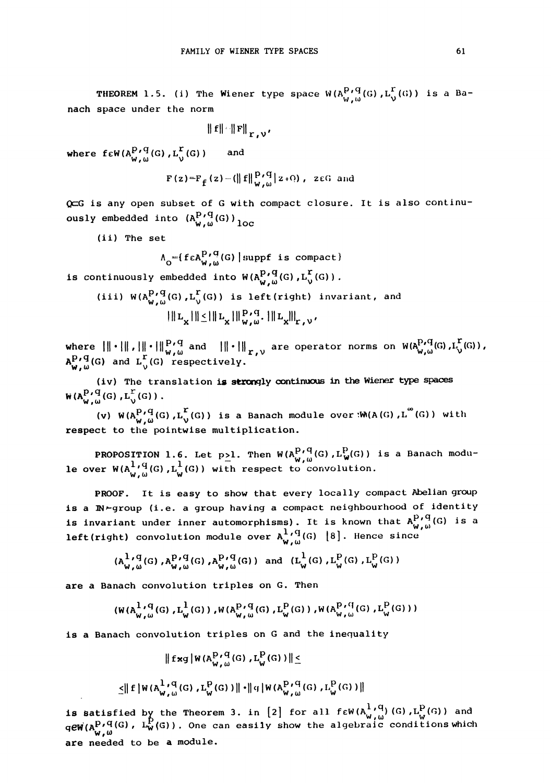**THEOREM** 1.5. (i) The Wiener type space  $W(A_{U,\mu}^{P,q}(G),L_V^{\Gamma}(G))$  is a Banach space under the norm

$$
\|\mathbf{f}\| \cdot \|\mathbf{F}\|_{\mathbf{r},\mathbf{v'}}
$$

where  $f \in W(A_{W,\omega}^{P,\mathbf{q}}(G), L_{\mathcal{V}}^{\mathbf{L}}(G))$  and

$$
\mathbf{F}\left(\mathbf{z}\right)=\mathbf{F}_{\mathbf{f}}\left(\mathbf{z}\right)-\left(\left\|\mathbf{f}\right\|\mathbf{P}_{\mathbf{v},\omega}^{\mathbf{P}}\left|\mathbf{z}\right|\right),\text{ zcG and}
$$

G is any open subset of <sup>G</sup> with compact closure. It is also continuously embedded into  $(A_{w,\omega}^{P\prime\,q}(G))_{\textrm{loc}}$ 

(ii) The set

$$
\Lambda_{\mathsf{O}} = \{ \, \mathsf{f} \, \mathsf{c} \, \mathsf{A}_{\mathsf{W},\,\mathsf{W}}^{\mathsf{P}}(\mathsf{G}) \mid \text{supp} \, \mathsf{f} \, \text{ is compact} \, \}
$$

is continuously embedded into  $W(A_{W,\omega}^{p,q}(G), L_{\nu}^{\Gamma}(G))$ 

(iii) 
$$
W(A_{W,\omega}^{P,q}(G), L_{\nu}^{r}(G))
$$
 is left (right) invariant, and  
\n
$$
\|L_{X}\| \leq \|L_{X}\|_{W,\omega}^{P,q}.\|L_{X}\|_{r,\nu}'.
$$

where  $\|\cdot\| \cdot \|\cdot\|_{w,w}^{p,q}$  and  $\|\cdot\|_{r,v}$  are operator norms on  $W(A_{w,w}^{p,q}(G),L_{v}^{r}(G))$ ,<br> $A_{w,w}^{p,q}(G)$  and  $L_{v}^{r}(G)$  respectively. and  $L_0^+(G)$  respectively. (iv) The translation is strongly continuous in the Wiener type spaces<br>  $\mathcal{H} = \mathcal{H} \times \mathcal{H}$  and  $\mathcal{H} = \mathcal{H} \times \mathcal{H}$  are operator norms on  $\mathcal{H}(\mathbf{A}_{\mathbf{w},\omega}^{P,\mathbf{q}}(G)$ ,<br>
(iv) The translation is strongly contin

W(A $_{W}^{P}$ ,  $_{W}^{q}$ (G),  $_{L_{V}}^{r}$ (G)).

(v)  $W(A_{W,\omega}^{P,\mathrm{q}}(G),\mathrm{L}^{\mathrm{r}}_{\mathrm{V}}(G))$  is a Banach module over : $W(A(G),\mathrm{L}^{\infty}(G))$  with respect to the pointwise multiplication.

PROPOSITION 1.6. Let p<sub>2</sub>1. Then  $W(A_{W,\omega}^{P+q}(G), L_W^P(G))$  is a Banach modu-<br>le over  $W(A_{W,\omega}^{1,q}(G), L_W^1(G))$  with respect to convolution.

PROOF. It is easy to show that every locally compact Abelian group is a IN-group (i.e. a group having a compact neighbourhood of identity is invariant under inner automorphisms). It is known that  $A_{W,\omega}^{p,q}(G)$  is a **left(right)** convolution module over  $A_{w,\omega}^{1,q}(G)$  [8]. Hence since

$$
(A_{w,w}^{1,q}(G),A_{w,w}^{p,q}(G),A_{w,w}^{p,q}(G)) \text{ and } (L_{w}^{1}(G),L_{w}^{p}(G),L_{w}^{p}(G))
$$

are a Banach convolution triples on G. Then

$$
(\mathsf{W}(A_{w,w}^{1,q}(G), L_{w}^{1}(G)), \mathsf{W}(A_{w,w}^{p,q}(G), L_{w}^{q}(G)), \mathsf{W}(A_{w,w}^{p,q}(G), L_{w}^{p}(G))
$$

is a Banach convolution triples on G and the inequality

$$
\|f \times g | W(A_{W,\omega}^{P,q}(G), L_W^P(G)) \| \le
$$
  

$$
\leq \|f| W(A_{W,\omega}^{1,q}(G), L_W^P(G)) \| \cdot \|q| W(A_{W,\omega}^{P,q}(G), L_W^P(G)) \|
$$

is satisfied by the Theorem 3. in  $[2]$  for all f $\epsilon$ W(A $^{\mathbf{l}+q}_{\mathbf{w},\,\boldsymbol{\omega}}$ )(G), $\mathtt{L}_{\mathbf{w}}^{\mathbf{p}}(\mathbf{G})$ ) and  $\mathcal{H}(\mathbf{A}^\mathbf{P\prime}\mathbf{q}(\mathbf{G})$ ,  $\mathbf{L}^\mathbf{P}_\mathbf{W}(\mathbf{G})$ ). One can easily show the algebraic conditions which are needed to be a module.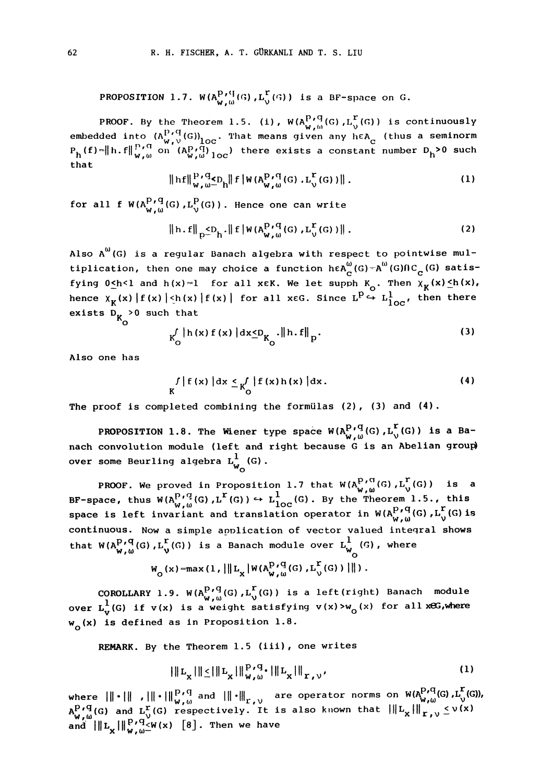PROPOSITION 1.7.  $W(A_{W,\omega}^{P\text{ }r\text{ }\{1\}\text{ }}(G)$ , $L_{\vee}^{\Gamma}(\mathcal{G}))$  is a BF-space on G.

PROOF. By the Theorem 1.5. (i), W(A $_{\mathsf{w}~,_{\mathsf{m}}}^{\mathsf{P}}$ /G(G), $_{\mathsf{L}}^{\mathsf{r}}$ (G)) is continuously embedded into  $({\Lambda^{P}_s}^q(G))_{\text{loc}}$ . That means given any he ${\Lambda^e_{\text{c}}}$  (thus a seminorm  $P_h(f) = \|h.f\|_{W, \omega}^{P \wedge G}$  on  $(A_{W, \omega}^{P \wedge G})_{\text{loc}}$  there exists a constant number  $D_h^{>0}$  such that

$$
\|hf\|_{W,\omega}^{P,q} \leq D_{h} \|f\|_{W(A_{W,\omega}^{P,q}(G),L_{\omega}^{r}(G))} \|.
$$
 (1)

for all f  $W(A_{W,\omega}^{P+q}(G), L^P_V(G))$ . Hence one can write

$$
\|h.f\|_{p} \leq D_h \cdot \|f\|_{W(A_{W,\omega}^{p,q}(G),L_{\nu}^{r}(G))}\|.
$$
 (2)

Also  $A^{(i)}(G)$  is a regular Banach algebra with respect to pointwise multiplication, then one may choice a function h $\epsilon A_{\alpha}^{\omega}(G)-A^{\omega}(G)\cap C_{\alpha}(G)$  satisfying  $0 \leq h < 1$  and  $h(x)=1$  for all xEK. We let supph  $K_0$ . Then  $\chi_K(x) \leq h(x)$ , hence  $\chi_K(x) |f(x)| \leq h(x) |f(x)|$  for all xeg. Since  $L^p \xrightarrow{L} L^1_{loc}$ , then there exists  $D_K > 0$  such that

$$
K_{O}^{\int |h(x) f(x)| dx \leq D_{K_{O}} \|h.f\|_{p}}.
$$
 (3)

Also one has

$$
\int_{K} |f(x)| dx \leq \int_{0}^{f} |f(x)h(x)| dx.
$$
 (4)

The proof is completed combining the formulas  $(2)$ ,  $(3)$  and  $(4)$ .

PROPOSITION 1.8. The Wiener type space  $W(A_{W,\omega}^{P,q}(G), L_{V}^{r}(G))$  is a Banach convolution module (left and right because G is an Abelian group) over some Beurling algebra  $\mathtt{L}_{\mathsf{w}_\mathsf{O}}^{\text{1}}(\mathsf{G})$  .

PROOF. We proved in Proposition 1.7 that  $W(A_{\omega_{\ell,m}}^{P,\vee\alpha}(G),L_{\omega_{\ell}}^{P}(G))$  is a BF-space, thus  $W(A_{W,\omega}^{P,q}(G), L^{r}(G)) \hookrightarrow L_{loc}^{1}(G)$ . By the Theorem 1.5., this space is left invariant and translation operator in  $W(A_P^{P,q}(G),L_Y^r(G))$  is<br>eaching the space is left invariant and translation operator in  $W(A_P^{P,q}(G),L_Y^r(G))$  is continuous. NOW a simple application of vector valued inteqral shows that  $W(A_{W,\omega}^{P,q}(G),L_V^r(G))$  is a Banach module over  $L_{W_0}^1(G)$ , where

$$
W_{\mathcal{O}}(x) = max(1, ||L_x| W(A_{W,\omega}^{P,q}(G), L_y^{\Gamma}(G))||)
$$

COROLLARY 1.9.  $W(A_{W,\omega}^{P,q}(G), L_V^P(G))$  is a left(right) Banach module<br>over  $L_V^1(G)$  if  $v(x)$  is a weight satisfying  $v(x) > w_0(x)$  for all xeG,where **w<sub>o</sub>(x) is defined as in Proposition 1.8.** 

REMARK. By the Theorem 1.5 (iii), one writes

$$
\|\|L_{X}\|\|\leq \|\|L_{X}\|\|W_{\nu,\omega}^{\text{P,q}}\| \|\|L_{X}\|\|_{\Gamma,\nu},\tag{1}
$$

where  $\|\cdot\|$  ,  $\|\cdot\|_{W,\omega}^{p,q}$  and  $\|\cdot\|_{r,\nu}$  are operator norms on  $W(A_{r,\omega}^{p,q}(G),L_{\sqrt{r}}^{r}(G)),$ where  $\lim_{\substack{W, \omega \to 0 \\ W, \omega}} \lim_{\substack{W \to 0 \\ W, \omega}} \lim_{\substack{W \to 0 \\ W, \omega \to 0}} \lim_{\substack{W \to 0 \\ W, \omega \to 0}} \lim_{\substack{W \to 0 \\ W, \omega \to 0}} \lim_{\substack{W \to 0 \\ W, \omega \to 0}} \lim_{\substack{W \to 0 \\ W, \omega \to 0}} \lim_{\substack{W \to 0 \\ W, \omega \to 0}} \lim_{\substack{W \to 0 \\ W, \omega \to 0}} \lim_{\substack{W \to 0 \\ W, \omega \to 0$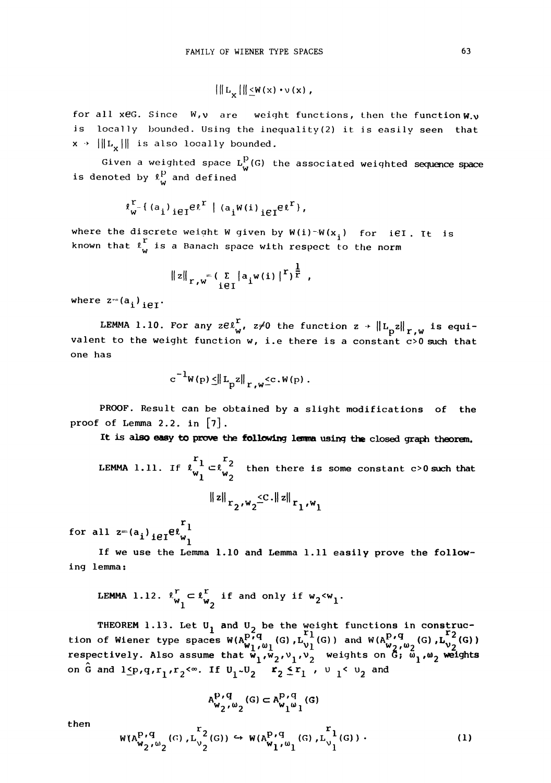$$
\left|\left\|L_{\mathbf{v}}\right|\right\| \leq W(x) \cdot \nu(x),
$$

for all xeG. Since  $W, V$  are weight functions, then the function  $W, V$ is locally bounded. Using the inequality(2) it is easily seen that  $x \rightarrow |||L_x||$  is also locally bounded.

Given a weighted space  $L_W^p(G)$  the associated weighted sequence space is denoted by  $\ell_{\mathsf{w}}^{\mathsf{p}}$  and defined

$$
\ell^r_{w^*}(\left(a_i\right)_{i\in I}e^{\ell^r} \mid \left(a_iw(i)\right)_{i\in I}e^{\ell^r},
$$

where the discrete weight W given by W(i)<sup>-</sup>W(x<sub>i</sub>) for <code>iEI.</code> It <code>is</code> known that  $\int_{\mathsf{w}}^{\mathbf{r}}$  is a Banach space with respect to the norm

$$
||z||_{r,w} = (\sum_{i \in I} |a_i w(i)|^r)^{\frac{1}{r}}
$$
,

where  $z=(a_i)_{i\in I}$ .

LEMMA 1.10. For any  $ze^r_{w}$ ,  $z\neq 0$  the function  $z$  +  $\left\| \text{L}_\text{p} \text{z} \right\|_{r,w}$  is equivalent to the weight function  $w$ , i.e there is a constant  $c>0$  such that one has

$$
c^{-1}W(p) \leq ||L_p z||_{r, w} \leq c \cdot W(p).
$$

PROOF. Result can be obtained by a slight modifications of the proof of Lemma 2.2. in  $[7]$ .

It is also easy to prove the following lemma using the closed graph theorem.

LEMMA 1.11. If  $\begin{bmatrix} r_1 \ c \ w_1 \end{bmatrix} \subset \begin{bmatrix} r_2 \ c \ w_2 \end{bmatrix}$  then there is some constant c>0 such that  $\left\Vert z\right\Vert _{\mathrm{r}_{2}\text{,w}_{2}}\leq C\cdot\left\Vert z\right\Vert _{\mathrm{r}_{1}\text{,w}_{1}}$ 

for all  $z=(a_i)_{i\in I}e_{w_i}^{r_1}$ 

if we use the Lemma I.I0 and Lemma I.II easily prove the following lemma

LEMMA 1.12. 
$$
\ell_{w_1}^r \subset \ell_{w_2}^r
$$
 if and only if  $w_2 < w_1$ .

THEOREM 1.13. Let U<sub>1</sub> and U<sub>2</sub> be the weight functions in construc-<br>tion of Wiener type spaces  $W(A_{W_1,W_1}^{P,q}(G),L_{V_1}^{T_1}(G))$  and  $W(A_{W_2,W_2}^{P,q}(G),L_{V_2}^{T_2}(G))$ respectively. Also assume that  $w_1$ ,  $w_1$ ,  $v_2$ ,  $v_1$ ,  $v_2$  weights on G;  $\omega_1$ ,  $\omega_2$  weights on  $\hat{G}$  and  $1 \leq p$ , $q$ , $r_1$ , $r_2 < \infty$ . If  $U_1 \sim U_2$   $x_2 \leq r_1$  ,  $v_1 < u_2$  and

$$
\mathbf{A}_{\mathbf{w}_2,\omega_2}^{\mathbf{p}_\prime\mathbf{q}}(\mathbf{G})\subset \mathbf{A}_{\mathbf{w}_1\omega_1}^{\mathbf{p}_\prime\mathbf{q}}(\mathbf{G})
$$

then

$$
W(A_{W_2,W_2}^{P,q}(G),L_{V_2}^{r_2}(G)) \hookrightarrow W(A_{W_1,W_1}^{P,q}(G),L_{V_1}^{r_1}(G)) .
$$
 (1)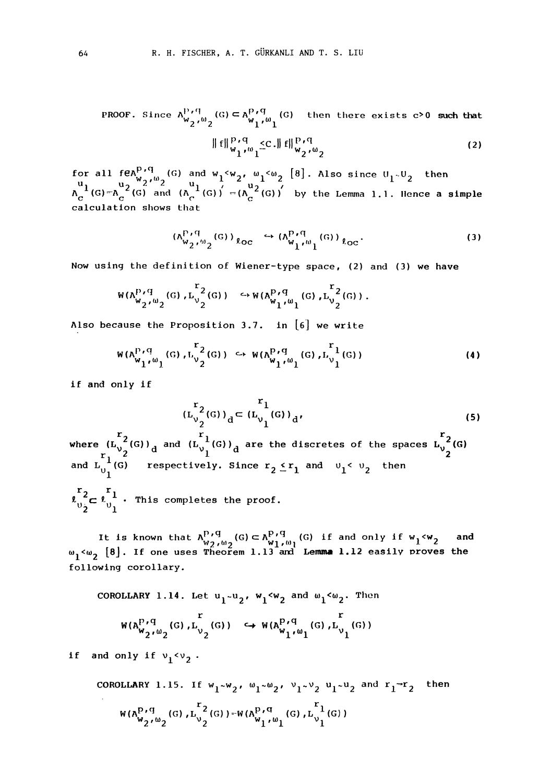PROOF. Since  $A_{w_2}^{V}\left(0\right) \subset A_{w_1}^{P}\left(0\right)$  (G) then there exists c>0 such that  $2^{10}2^{10}$   $W_1^{0}1$ 

$$
\|f\|_{W_1^{\nu_1}}^{\mathbf{P} \cdot \mathbf{q}} \leq C \cdot \|f\|_{W_2^{\nu_0} \cdot \mathbf{q}}^{\mathbf{P} \cdot \mathbf{q}} \tag{2}
$$

for all feA<sup>p''</sup>, (G) and w<sub>1</sub><w<sub>2</sub>, w<sub>1</sub><w<sub>2</sub> [8]. Also since U<sub>1</sub>-U<sub>2</sub> then  $\overline{A}_{\perp}$  $f_{\alpha}^{u}$  1  $\left(\frac{u_{2}}{g}\right)^{u_{2}+u_{2}}$  and  $\left(A_{\alpha}^{u_{1}}(G)\right)' = \left(A_{\alpha}^{u_{2}}(G)\right)'$  by the Lemma 1.1. Hence a simple calculation shows that

$$
(\Lambda_{W_2}^{\mathbf{P}_1\mathbf{q}}_{\mathbf{p}_2}(\mathbf{G}))_{\ell_{\mathbf{O}C}} \hookrightarrow (\Lambda_{W_1}^{\mathbf{P}_1\mathbf{q}}_{\mathbf{p}_1}(\mathbf{G}))_{\ell_{\mathbf{O}C}}.\tag{3}
$$

Now using the definition of Wiener-type space, (2) and (3) we have

$$
W(A^{P}_{W_2}, \omega_2(G), L^{r_2}_{V_2}(G)) \hookrightarrow W(A^{P,q}_{W_1}, \omega_1(G), L^{r_2}_{V_2}(G)).
$$

Also because the Proposition 3.7. in  $[6]$  we write

$$
W(\Lambda_{W_1}^{P_1,q}(G),L_{V_2}^{r^2}(G)) \hookrightarrow W(\Lambda_{W_1}^{P_1,q}(G),L_{V_1}^{r^1}(G))
$$
\n(4)

if and only if

where 
$$
(L_{v_2}^{r_2}(G))_d = (L_{v_1}^{r_1}(G))_d,
$$
  
\nwhere 
$$
(L_{v_2}^{r_2}(G))_d
$$
 and 
$$
(L_{v_1}^{r_1}(G))_d
$$
 are the discretes of the spaces 
$$
L_{v_2}^{r_2}(G)
$$
 and 
$$
L_{v_1}^{r_1}(G)
$$
 respectively. Since 
$$
r_2 \le r_1
$$
 and 
$$
v_1 < v_2
$$
 then 
$$
\ell_{v_2}^{r_2} \subset \ell_{v_1}^{r_1}
$$
. This completes the proof.

It is known that  $A_{W_2,W_2}^{P+q}(G) \subset A_{W_1,W_1}^{P+q}(G)$  if and only if  $w_1 \le w_2$  and  $w_1 \le w_2$  [8]. If one uses Theorem 1.13 and Lemma 1.12 easily proves the following corollary.

COROLLARY 1.14. Let 
$$
u_1 \sim u_2
$$
,  $w_1 \sim w_2$  and  $\omega_1 \sim \omega_2$ . Then  
\n
$$
W(A_{w_2 \wedge w_2}^{P \wedge q} (G), L_{v_2}^r (G)) \hookrightarrow W(A_{w_1 \wedge w_1}^{P \wedge q} (G), L_{v_1}^r (G))
$$

if and only if  $v_1$ < $v_2$ 

COROLLARY 1.15. If 
$$
w_1 \sim w_2
$$
,  $w_1 \sim w_2$ ,  $v_1 \sim v_2$   $u_1 \sim u_2$  and  $r_1 = r_2$  then  
\n
$$
W(A_{w_2}^{P,q}(G), L_{v_2}^{r_2}(G)) = W(A_{w_1}^{P,q}(G), L_{v_1}^{r_1}(G))
$$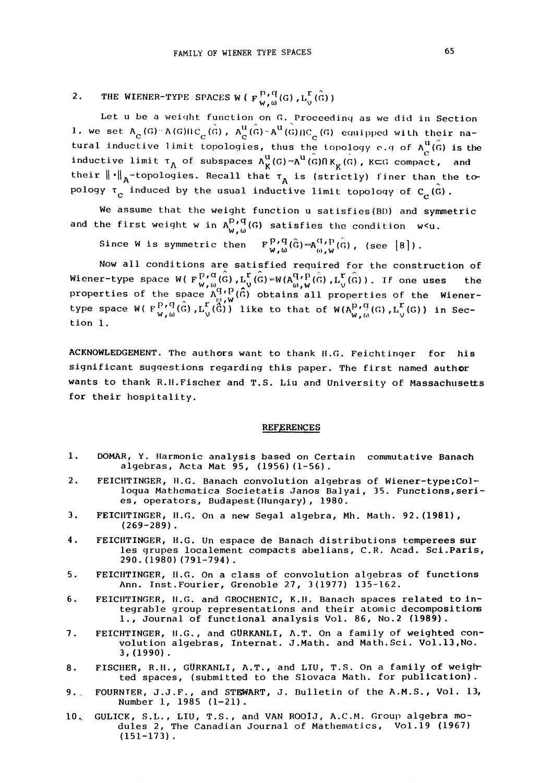2. THE WIENER-TYPE SPACES W ( $F_{W,\omega}^{P,\tilde{q}}(G)$ ,  $L_{V}^{\Gamma}(\hat{G})$ )

Let u be a weight function on  $G$ . Proceeding as we did in Section 1, we set  $A_C(G)$ -A(G) $IC_C(\hat{G})$ ,  $A_C^U(\hat{G})-A^U(\hat{G})/C_C(G)$  equipped with their natural inductive limit topologies, thus the topology e.g of  $A_C^{u}(\hat{G})$  is the inductive limit  $\tau_A$  of subspaces  $A_K^u(G) = A^u(G)R_K(G)$ ,  $K \subset G$  compact, and their  $\left\| \cdot \right\|_{\overline{\mathrm{A}}}$ -topologies. Recall that  $\tau_{\overline{\mathrm{A}}}$  is (strictly) finer than the topology  $\tau_{\rm c}$  induced by the usual inductive limit topology of C<sub>C</sub>(G).

We assume that the weight function u satisfies (BD) and symmetric and the first weight w in  $A_{W,\omega}^{p,q}(G)$  satisfies the condition  $w<sub>1</sub>$ .

Since W is symmetric then  $F_{w,w}^{p,q}(\hat{G})=\mathbf{A}_{\omega,w}^{q,p}(\hat{G})$ , (see  $\{8\}$ ).

Now all conditions are satisfied required for the construction of Wiener-type space W( $F_{W,\omega}^{p,q}(\hat{G})$ ,  $L_{\omega}^{r}(\hat{G})=W(A_{\omega,\omega}^{q,p}(\hat{G}), L_{\omega}^{r}(\hat{G}))$ . If one uses the properties of the space  $A_{\alpha}^{QP}(\vec{G})$  obtains all properties of the Wienertype space W(  $F_{W,\omega}^{P,\mathbf{q}}(\mathbf{\hat{G}})$  , $\mathbf{L}_{\mathcal{V}}^{\mathbf{r}}(\mathbf{\hat{G}})$ ) like to that of W( $\mathbf{A}_{W,\omega}^{P,\mathbf{q}}(\mathbf{G})$  , $\mathbf{L}_{\mathcal{V}}^{\mathbf{r}}(\mathbf{G})$ ) in Section I.

ACKNOWLEDGEMENT. The authors want to thank H.G. Feichtinger for his significant suggestions regarding this paper. The first named author wants to thank R.H. Fischer and T.S. Liu and University of Massachusetts for their hospitality.

## **REFERENCES**

- i, DOMAR, Y. Ilarmonic analysis based on Certain commutative Banach algebras, Acta Mat 95, (1956) (1-56).
- 2, FEICHTINGER, H.G. Banach convolution algebras of Wiener-type:Colloqua Mathematica Societatis Janos Balyai, 35. Functions,series, operators, Budapest (Hungary), 1980.
- $3.$ FEICIITINGER, II.G. On a new Segal algebra, Mh. Math. 92. (1981), (269-289).
- $4.$ FEICHTINGER, H.G. Un espace de Banach distributions temperees sur les grupes localement compacts abelians, C.R. Acad. Sci.Paris, 290. (1980) (791-794).
- 5, FEICIITINGER, II.G. On a class of convolution algebras of functions Ann. Inst.Fourier, Grenoble 27, 3(1977) 135-162.
- 6, FEICHTINGER, H.G. and GROCHENIC, K.H. Banach spaces related to integrable group representations and their atomic decompositiors I., Journal of functional analysis Vol. 86, No.2 (1989).
- 7 FEICHTINGER, H.G., and GURKANLI, A.T. On a family of weighted convolution algebras, Internat. J.Math. and Math. Sci. Vol.13,No. 3, (1990).
- FISCIIER, R.II., GURKANLI, A.T., and LIU, T.S. On a family of weigh-8. ted spaces, (submitted to the Slovaca Math. for publication).
- 9, FOURNIER, J.J.F., and STEWART, J. Bulletin of the A.M.S., Vol. 13, Number 1, 1985 (1-21).
- 10,. GULICK, S.L., LIU, T.S., and VAN ROOJ, A.C.M. Group algebra modules 2, The Canadian Journal of Mathematics, Vol.19 (1967) (151-173).